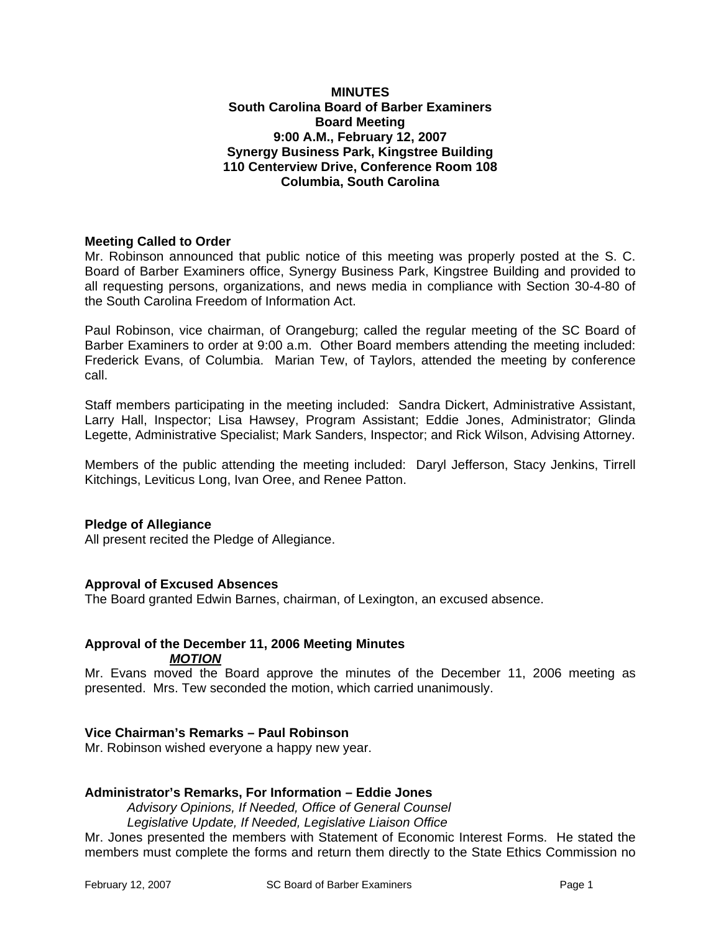### **MINUTES South Carolina Board of Barber Examiners Board Meeting 9:00 A.M., February 12, 2007 Synergy Business Park, Kingstree Building 110 Centerview Drive, Conference Room 108 Columbia, South Carolina**

### **Meeting Called to Order**

Mr. Robinson announced that public notice of this meeting was properly posted at the S. C. Board of Barber Examiners office, Synergy Business Park, Kingstree Building and provided to all requesting persons, organizations, and news media in compliance with Section 30-4-80 of the South Carolina Freedom of Information Act.

Paul Robinson, vice chairman, of Orangeburg; called the regular meeting of the SC Board of Barber Examiners to order at 9:00 a.m. Other Board members attending the meeting included: Frederick Evans, of Columbia. Marian Tew, of Taylors, attended the meeting by conference call.

Staff members participating in the meeting included: Sandra Dickert, Administrative Assistant, Larry Hall, Inspector; Lisa Hawsey, Program Assistant; Eddie Jones, Administrator; Glinda Legette, Administrative Specialist; Mark Sanders, Inspector; and Rick Wilson, Advising Attorney.

Members of the public attending the meeting included: Daryl Jefferson, Stacy Jenkins, Tirrell Kitchings, Leviticus Long, Ivan Oree, and Renee Patton.

### **Pledge of Allegiance**

All present recited the Pledge of Allegiance.

### **Approval of Excused Absences**

The Board granted Edwin Barnes, chairman, of Lexington, an excused absence.

## **Approval of the December 11, 2006 Meeting Minutes**

*MOTION*

Mr. Evans moved the Board approve the minutes of the December 11, 2006 meeting as presented. Mrs. Tew seconded the motion, which carried unanimously.

### **Vice Chairman's Remarks – Paul Robinson**

Mr. Robinson wished everyone a happy new year.

### **Administrator's Remarks, For Information – Eddie Jones**

*Advisory Opinions, If Needed, Office of General Counsel Legislative Update, If Needed, Legislative Liaison Office*  Mr. Jones presented the members with Statement of Economic Interest Forms. He stated the members must complete the forms and return them directly to the State Ethics Commission no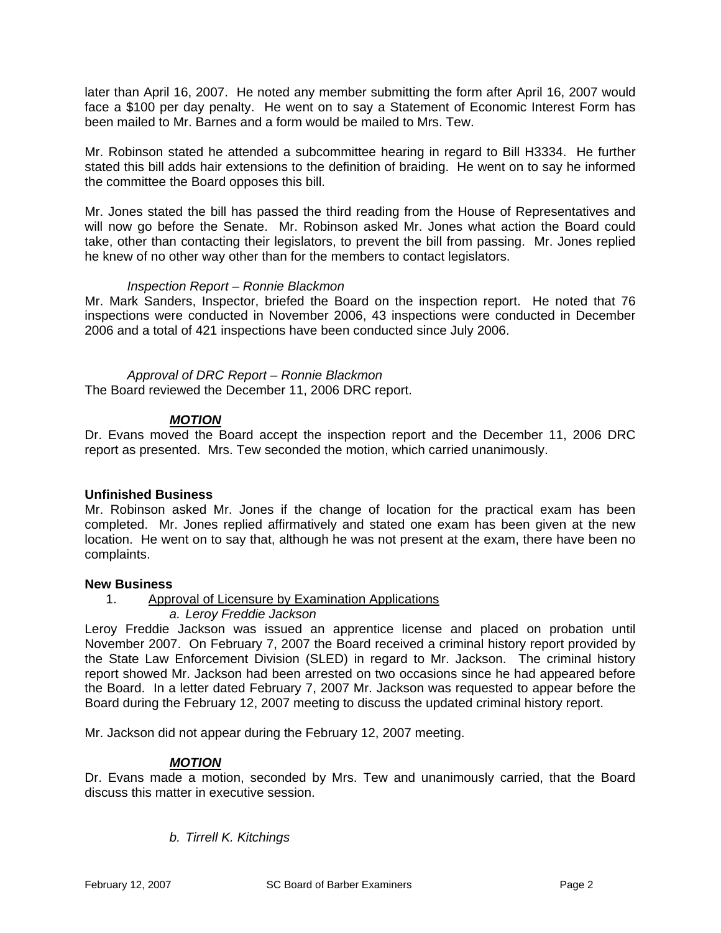later than April 16, 2007. He noted any member submitting the form after April 16, 2007 would face a \$100 per day penalty. He went on to say a Statement of Economic Interest Form has been mailed to Mr. Barnes and a form would be mailed to Mrs. Tew.

Mr. Robinson stated he attended a subcommittee hearing in regard to Bill H3334. He further stated this bill adds hair extensions to the definition of braiding. He went on to say he informed the committee the Board opposes this bill.

Mr. Jones stated the bill has passed the third reading from the House of Representatives and will now go before the Senate. Mr. Robinson asked Mr. Jones what action the Board could take, other than contacting their legislators, to prevent the bill from passing. Mr. Jones replied he knew of no other way other than for the members to contact legislators.

### *Inspection Report – Ronnie Blackmon*

Mr. Mark Sanders, Inspector, briefed the Board on the inspection report. He noted that 76 inspections were conducted in November 2006, 43 inspections were conducted in December 2006 and a total of 421 inspections have been conducted since July 2006.

 *Approval of DRC Report – Ronnie Blackmon*  The Board reviewed the December 11, 2006 DRC report.

## *MOTION*

Dr. Evans moved the Board accept the inspection report and the December 11, 2006 DRC report as presented. Mrs. Tew seconded the motion, which carried unanimously.

## **Unfinished Business**

Mr. Robinson asked Mr. Jones if the change of location for the practical exam has been completed. Mr. Jones replied affirmatively and stated one exam has been given at the new location. He went on to say that, although he was not present at the exam, there have been no complaints.

### **New Business**

1. Approval of Licensure by Examination Applications

*a. Leroy Freddie Jackson* 

Leroy Freddie Jackson was issued an apprentice license and placed on probation until November 2007. On February 7, 2007 the Board received a criminal history report provided by the State Law Enforcement Division (SLED) in regard to Mr. Jackson. The criminal history report showed Mr. Jackson had been arrested on two occasions since he had appeared before the Board. In a letter dated February 7, 2007 Mr. Jackson was requested to appear before the Board during the February 12, 2007 meeting to discuss the updated criminal history report.

Mr. Jackson did not appear during the February 12, 2007 meeting.

## *MOTION*

Dr. Evans made a motion, seconded by Mrs. Tew and unanimously carried, that the Board discuss this matter in executive session.

*b. Tirrell K. Kitchings*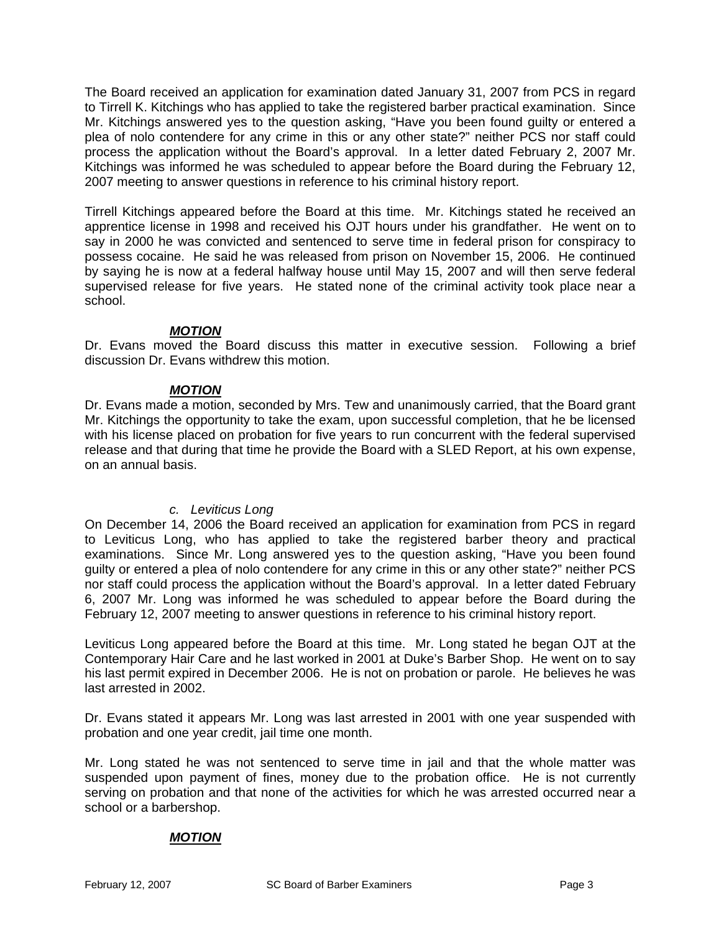The Board received an application for examination dated January 31, 2007 from PCS in regard to Tirrell K. Kitchings who has applied to take the registered barber practical examination. Since Mr. Kitchings answered yes to the question asking, "Have you been found guilty or entered a plea of nolo contendere for any crime in this or any other state?" neither PCS nor staff could process the application without the Board's approval. In a letter dated February 2, 2007 Mr. Kitchings was informed he was scheduled to appear before the Board during the February 12, 2007 meeting to answer questions in reference to his criminal history report.

Tirrell Kitchings appeared before the Board at this time. Mr. Kitchings stated he received an apprentice license in 1998 and received his OJT hours under his grandfather. He went on to say in 2000 he was convicted and sentenced to serve time in federal prison for conspiracy to possess cocaine. He said he was released from prison on November 15, 2006. He continued by saying he is now at a federal halfway house until May 15, 2007 and will then serve federal supervised release for five years. He stated none of the criminal activity took place near a school.

### *MOTION*

Dr. Evans moved the Board discuss this matter in executive session. Following a brief discussion Dr. Evans withdrew this motion.

### *MOTION*

Dr. Evans made a motion, seconded by Mrs. Tew and unanimously carried, that the Board grant Mr. Kitchings the opportunity to take the exam, upon successful completion, that he be licensed with his license placed on probation for five years to run concurrent with the federal supervised release and that during that time he provide the Board with a SLED Report, at his own expense, on an annual basis.

## *c. Leviticus Long*

On December 14, 2006 the Board received an application for examination from PCS in regard to Leviticus Long, who has applied to take the registered barber theory and practical examinations. Since Mr. Long answered yes to the question asking, "Have you been found guilty or entered a plea of nolo contendere for any crime in this or any other state?" neither PCS nor staff could process the application without the Board's approval. In a letter dated February 6, 2007 Mr. Long was informed he was scheduled to appear before the Board during the February 12, 2007 meeting to answer questions in reference to his criminal history report.

Leviticus Long appeared before the Board at this time. Mr. Long stated he began OJT at the Contemporary Hair Care and he last worked in 2001 at Duke's Barber Shop. He went on to say his last permit expired in December 2006. He is not on probation or parole. He believes he was last arrested in 2002.

Dr. Evans stated it appears Mr. Long was last arrested in 2001 with one year suspended with probation and one year credit, jail time one month.

Mr. Long stated he was not sentenced to serve time in jail and that the whole matter was suspended upon payment of fines, money due to the probation office. He is not currently serving on probation and that none of the activities for which he was arrested occurred near a school or a barbershop.

## *MOTION*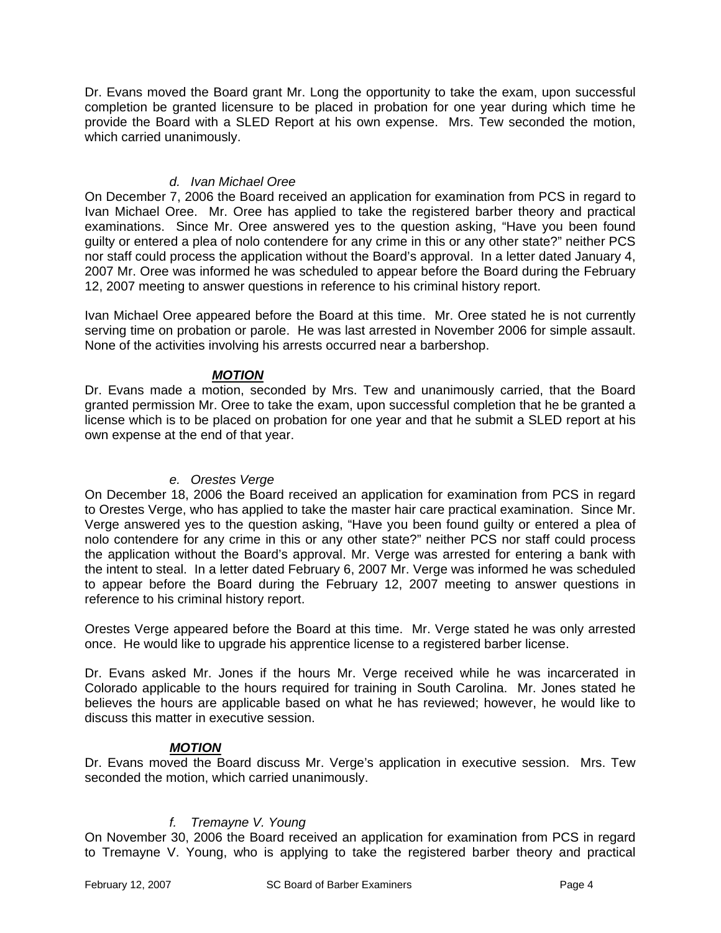Dr. Evans moved the Board grant Mr. Long the opportunity to take the exam, upon successful completion be granted licensure to be placed in probation for one year during which time he provide the Board with a SLED Report at his own expense. Mrs. Tew seconded the motion, which carried unanimously.

### *d. Ivan Michael Oree*

On December 7, 2006 the Board received an application for examination from PCS in regard to Ivan Michael Oree. Mr. Oree has applied to take the registered barber theory and practical examinations. Since Mr. Oree answered yes to the question asking, "Have you been found guilty or entered a plea of nolo contendere for any crime in this or any other state?" neither PCS nor staff could process the application without the Board's approval. In a letter dated January 4, 2007 Mr. Oree was informed he was scheduled to appear before the Board during the February 12, 2007 meeting to answer questions in reference to his criminal history report.

Ivan Michael Oree appeared before the Board at this time. Mr. Oree stated he is not currently serving time on probation or parole. He was last arrested in November 2006 for simple assault. None of the activities involving his arrests occurred near a barbershop.

## *MOTION*

Dr. Evans made a motion, seconded by Mrs. Tew and unanimously carried, that the Board granted permission Mr. Oree to take the exam, upon successful completion that he be granted a license which is to be placed on probation for one year and that he submit a SLED report at his own expense at the end of that year.

## *e. Orestes Verge*

On December 18, 2006 the Board received an application for examination from PCS in regard to Orestes Verge, who has applied to take the master hair care practical examination. Since Mr. Verge answered yes to the question asking, "Have you been found guilty or entered a plea of nolo contendere for any crime in this or any other state?" neither PCS nor staff could process the application without the Board's approval. Mr. Verge was arrested for entering a bank with the intent to steal. In a letter dated February 6, 2007 Mr. Verge was informed he was scheduled to appear before the Board during the February 12, 2007 meeting to answer questions in reference to his criminal history report.

Orestes Verge appeared before the Board at this time. Mr. Verge stated he was only arrested once. He would like to upgrade his apprentice license to a registered barber license.

Dr. Evans asked Mr. Jones if the hours Mr. Verge received while he was incarcerated in Colorado applicable to the hours required for training in South Carolina. Mr. Jones stated he believes the hours are applicable based on what he has reviewed; however, he would like to discuss this matter in executive session.

## *MOTION*

Dr. Evans moved the Board discuss Mr. Verge's application in executive session. Mrs. Tew seconded the motion, which carried unanimously.

## *f. Tremayne V. Young*

On November 30, 2006 the Board received an application for examination from PCS in regard to Tremayne V. Young, who is applying to take the registered barber theory and practical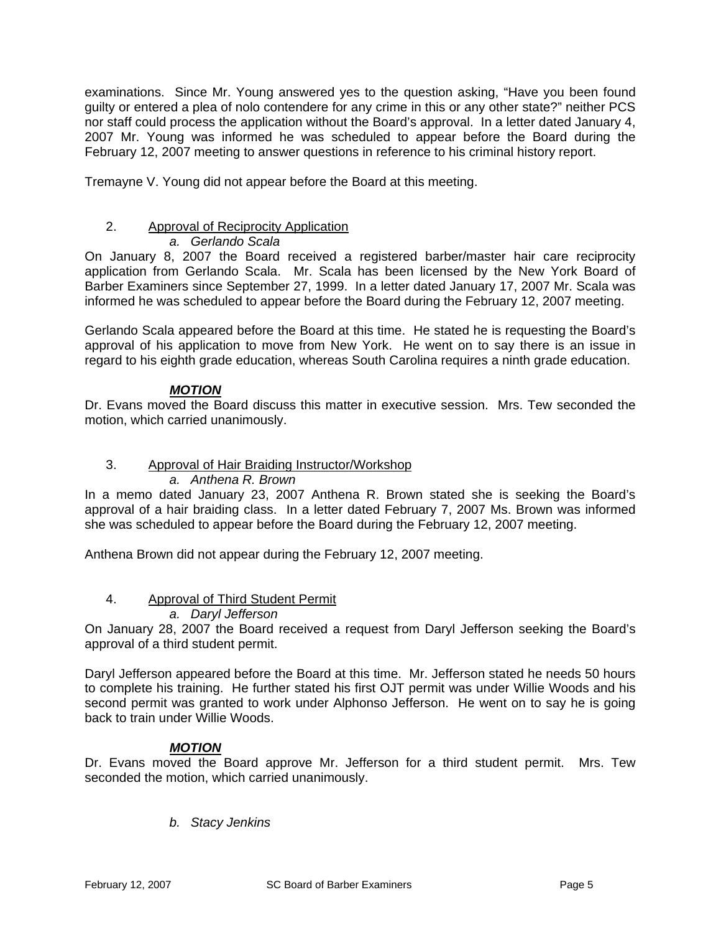examinations. Since Mr. Young answered yes to the question asking, "Have you been found guilty or entered a plea of nolo contendere for any crime in this or any other state?" neither PCS nor staff could process the application without the Board's approval. In a letter dated January 4, 2007 Mr. Young was informed he was scheduled to appear before the Board during the February 12, 2007 meeting to answer questions in reference to his criminal history report.

Tremayne V. Young did not appear before the Board at this meeting.

## 2. Approval of Reciprocity Application

## *a. Gerlando Scala*

On January 8, 2007 the Board received a registered barber/master hair care reciprocity application from Gerlando Scala. Mr. Scala has been licensed by the New York Board of Barber Examiners since September 27, 1999. In a letter dated January 17, 2007 Mr. Scala was informed he was scheduled to appear before the Board during the February 12, 2007 meeting.

Gerlando Scala appeared before the Board at this time. He stated he is requesting the Board's approval of his application to move from New York. He went on to say there is an issue in regard to his eighth grade education, whereas South Carolina requires a ninth grade education.

## *MOTION*

Dr. Evans moved the Board discuss this matter in executive session. Mrs. Tew seconded the motion, which carried unanimously.

# 3. Approval of Hair Braiding Instructor/Workshop

*a. Anthena R. Brown* 

In a memo dated January 23, 2007 Anthena R. Brown stated she is seeking the Board's approval of a hair braiding class. In a letter dated February 7, 2007 Ms. Brown was informed she was scheduled to appear before the Board during the February 12, 2007 meeting.

Anthena Brown did not appear during the February 12, 2007 meeting.

## 4. Approval of Third Student Permit

## *a. Daryl Jefferson*

On January 28, 2007 the Board received a request from Daryl Jefferson seeking the Board's approval of a third student permit.

Daryl Jefferson appeared before the Board at this time. Mr. Jefferson stated he needs 50 hours to complete his training. He further stated his first OJT permit was under Willie Woods and his second permit was granted to work under Alphonso Jefferson. He went on to say he is going back to train under Willie Woods.

## *MOTION*

Dr. Evans moved the Board approve Mr. Jefferson for a third student permit. Mrs. Tew seconded the motion, which carried unanimously.

*b. Stacy Jenkins*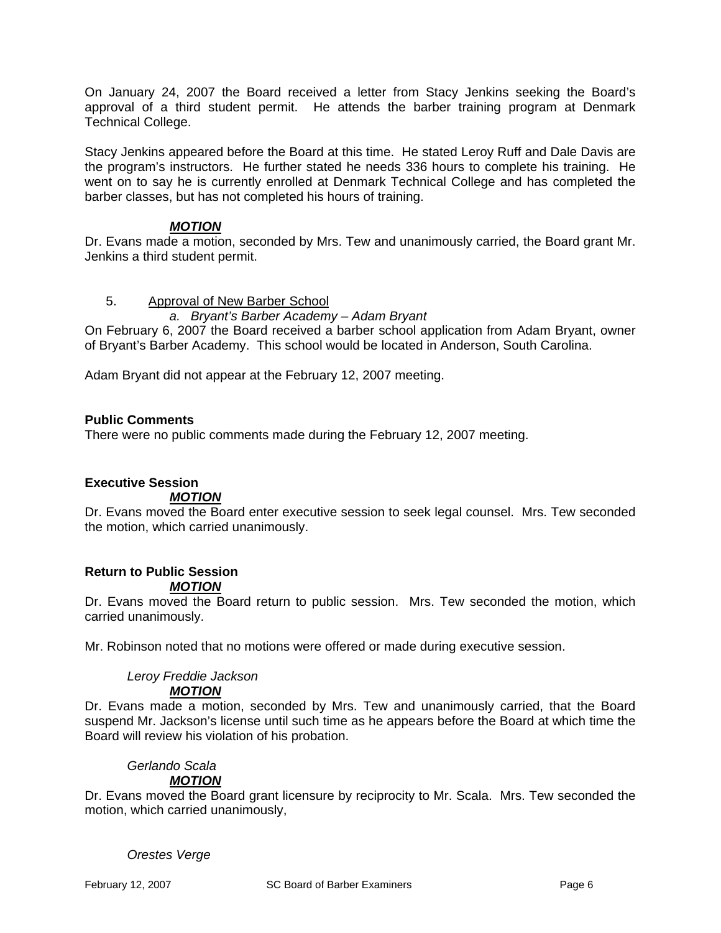On January 24, 2007 the Board received a letter from Stacy Jenkins seeking the Board's approval of a third student permit. He attends the barber training program at Denmark Technical College.

Stacy Jenkins appeared before the Board at this time. He stated Leroy Ruff and Dale Davis are the program's instructors. He further stated he needs 336 hours to complete his training. He went on to say he is currently enrolled at Denmark Technical College and has completed the barber classes, but has not completed his hours of training.

## *MOTION*

Dr. Evans made a motion, seconded by Mrs. Tew and unanimously carried, the Board grant Mr. Jenkins a third student permit.

### 5. Approval of New Barber School

### *a. Bryant's Barber Academy – Adam Bryant*

On February 6, 2007 the Board received a barber school application from Adam Bryant, owner of Bryant's Barber Academy. This school would be located in Anderson, South Carolina.

Adam Bryant did not appear at the February 12, 2007 meeting.

### **Public Comments**

There were no public comments made during the February 12, 2007 meeting.

## **Executive Session**

### *MOTION*

Dr. Evans moved the Board enter executive session to seek legal counsel. Mrs. Tew seconded the motion, which carried unanimously.

## **Return to Public Session**

### *MOTION*

Dr. Evans moved the Board return to public session. Mrs. Tew seconded the motion, which carried unanimously.

Mr. Robinson noted that no motions were offered or made during executive session.

## *Leroy Freddie Jackson*

### *MOTION*

Dr. Evans made a motion, seconded by Mrs. Tew and unanimously carried, that the Board suspend Mr. Jackson's license until such time as he appears before the Board at which time the Board will review his violation of his probation.

## *Gerlando Scala*

## *MOTION*

Dr. Evans moved the Board grant licensure by reciprocity to Mr. Scala. Mrs. Tew seconded the motion, which carried unanimously,

### *Orestes Verge*